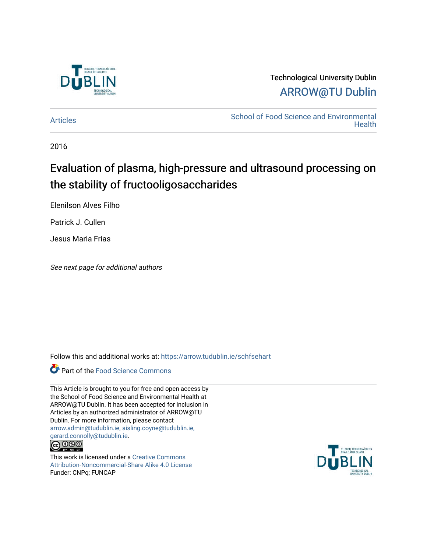

## Technological University Dublin [ARROW@TU Dublin](https://arrow.tudublin.ie/)

[Articles](https://arrow.tudublin.ie/schfsehart) **School of Food Science and Environmental Health** 

2016

# Evaluation of plasma, high-pressure and ultrasound processing on the stability of fructooligosaccharides

Elenilson Alves Filho

Patrick J. Cullen

Jesus Maria Frias

See next page for additional authors

Follow this and additional works at: [https://arrow.tudublin.ie/schfsehart](https://arrow.tudublin.ie/schfsehart?utm_source=arrow.tudublin.ie%2Fschfsehart%2F473&utm_medium=PDF&utm_campaign=PDFCoverPages) 



This Article is brought to you for free and open access by the School of Food Science and Environmental Health at ARROW@TU Dublin. It has been accepted for inclusion in Articles by an authorized administrator of ARROW@TU Dublin. For more information, please contact [arrow.admin@tudublin.ie, aisling.coyne@tudublin.ie,](mailto:arrow.admin@tudublin.ie,%20aisling.coyne@tudublin.ie,%20gerard.connolly@tudublin.ie)  [gerard.connolly@tudublin.ie](mailto:arrow.admin@tudublin.ie,%20aisling.coyne@tudublin.ie,%20gerard.connolly@tudublin.ie).<br>@090



This work is licensed under a [Creative Commons](http://creativecommons.org/licenses/by-nc-sa/4.0/) [Attribution-Noncommercial-Share Alike 4.0 License](http://creativecommons.org/licenses/by-nc-sa/4.0/) Funder: CNPq; FUNCAP

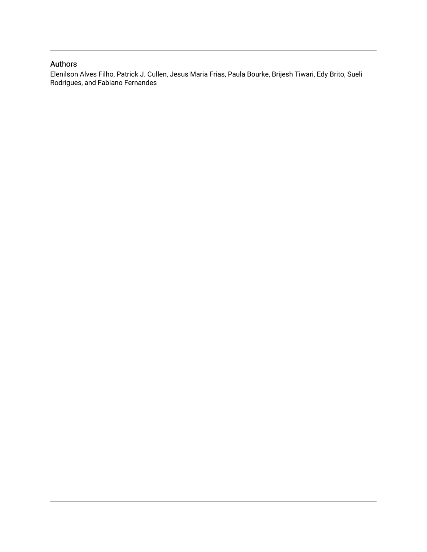### Authors

Elenilson Alves Filho, Patrick J. Cullen, Jesus Maria Frias, Paula Bourke, Brijesh Tiwari, Edy Brito, Sueli Rodrigues, and Fabiano Fernandes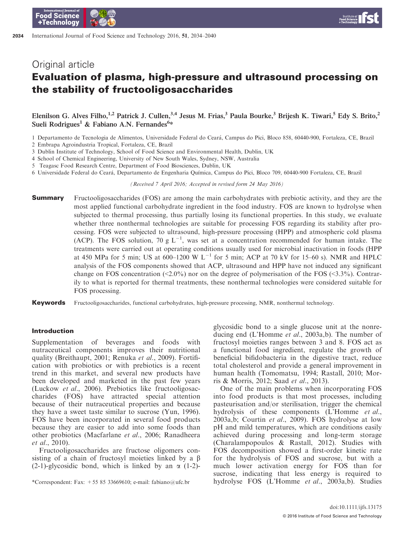## Evaluation of plasma, high-pressure and ultrasound processing on the stability of fructooligosaccharides

Elenilson G. Alves Filho,<sup>1,2</sup> Patrick J. Cullen,<sup>3,4</sup> Jesus M. Frias,<sup>3</sup> Paula Bourke,<sup>3</sup> Brijesh K. Tiwari,<sup>5</sup> Edy S. Brito,<sup>2</sup> Sueli Rodrigues<sup>1</sup> & Fabiano A.N. Fernandes<sup>6\*</sup>

- 1 Departamento de Tecnologia de Alimentos, Universidade Federal do Ceara, Campus do Pici, Bloco 858, 60440-900, Fortaleza, CE, Brazil
- 2 Embrapa Agroindustria Tropical, Fortaleza, CE, Brazil

3 Dublin Institute of Technology, School of Food Science and Environmental Health, Dublin, UK

4 School of Chemical Engineering, University of New South Wales, Sydney, NSW, Australia

- 5 Teagasc Food Research Centre, Department of Food Biosciences, Dublin, UK
- 6 Universidade Federal do Ceara, Departamento de Engenharia Quımica, Campus do Pici, Bloco 709, 60440-900 Fortaleza, CE, Brazil

(Received 7 April 2016; Accepted in revised form 24 May 2016)

**Summary** Fructooligosaccharides (FOS) are among the main carbohydrates with prebiotic activity, and they are the most applied functional carbohydrate ingredient in the food industry. FOS are known to hydrolyse when subjected to thermal processing, thus partially losing its functional properties. In this study, we evaluate whether three nonthermal technologies are suitable for processing FOS regarding its stability after processing. FOS were subjected to ultrasound, high-pressure processing (HPP) and atmospheric cold plasma (ACP). The FOS solution, 70 g  $L^{-1}$ , was set at a concentration recommended for human intake. The treatments were carried out at operating conditions usually used for microbial inactivation in foods (HPP at 450 MPa for 5 min; US at 600–1200 W L<sup>-1</sup> for 5 min; ACP at 70 kV for 15–60 s). NMR and HPLC analysis of the FOS components showed that ACP, ultrasound and HPP have not induced any significant change on FOS concentration  $\langle 2.0\% \rangle$  nor on the degree of polymerisation of the FOS  $\langle 3.3\% \rangle$ . Contrarily to what is reported for thermal treatments, these nonthermal technologies were considered suitable for FOS processing.

Keywords Fructooligosaccharides, functional carbohydrates, high-pressure processing, NMR, nonthermal technology.

#### Introduction

Supplementation of beverages and foods with nutraceutical components improves their nutritional quality (Breithaupt, 2001; Renuka et al., 2009). Fortification with probiotics or with prebiotics is a recent trend in this market, and several new products have been developed and marketed in the past few years (Luckow et al., 2006). Prebiotics like fructooligosaccharides (FOS) have attracted special attention because of their nutraceutical properties and because they have a sweet taste similar to sucrose (Yun, 1996). FOS have been incorporated in several food products because they are easier to add into some foods than other probiotics (Macfarlane et al., 2006; Ranadheera et al., 2010).

Fructooligosaccharides are fructose oligomers consisting of a chain of fructosyl moieties linked by a  $\beta$  $(2-1)$ -glycosidic bond, which is linked by an  $\alpha$  (1-2)- glycosidic bond to a single glucose unit at the nonreducing end (L'Homme et al., 2003a,b). The number of fructosyl moieties ranges between 3 and 8. FOS act as a functional food ingredient, regulate the growth of beneficial bifidobacteria in the digestive tract, reduce total cholesterol and provide a general improvement in human health (Tomomatsu, 1994; Rastall, 2010; Morris & Morris, 2012; Saad et al., 2013).

One of the main problems when incorporating FOS into food products is that most processes, including pasteurisation and/or sterilisation, trigger the chemical hydrolysis of these components (L'Homme et al., 2003a,b; Courtin et al., 2009). FOS hydrolyse at low pH and mild temperatures, which are conditions easily achieved during processing and long-term storage (Charalampopoulos & Rastall, 2012). Studies with FOS decomposition showed a first-order kinetic rate for the hydrolysis of FOS and sucrose, but with a much lower activation energy for FOS than for sucrose, indicating that less energy is required to \*Correspondent: Fax: +55 85 33669610; e-mail: fabiano@ufc.br hydrolyse FOS (L'Homme et al., 2003a,b). Studies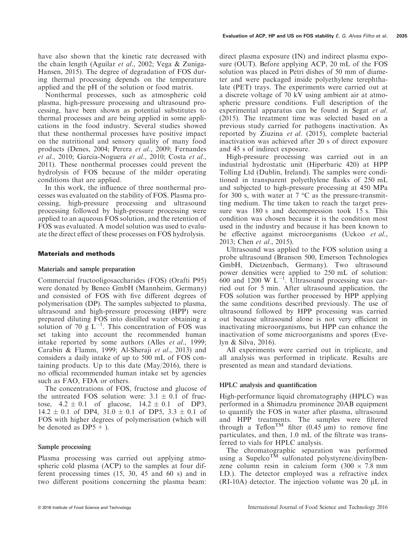Nonthermal processes, such as atmospheric cold plasma, high-pressure processing and ultrasound processing, have been shown as potential substitutes to thermal processes and are being applied in some applications in the food industry. Several studies showed that these nonthermal processes have positive impact on the nutritional and sensory quality of many food products (Denes, 2004; Perera et al., 2009; Fernandes et al., 2010; Garcia-Noguera et al., 2010; Costa et al., 2011). These nonthermal processes could prevent the hydrolysis of FOS because of the milder operating conditions that are applied.

In this work, the influence of three nonthermal processes was evaluated on the stability of FOS. Plasma processing, high-pressure processing and ultrasound processing followed by high-pressure processing were applied to an aqueous FOS solution, and the retention of FOS was evaluated. A model solution was used to evaluate the direct effect of these processes on FOS hydrolysis.

### Materials and methods

#### Materials and sample preparation

Commercial fructooligosaccharides (FOS) (Orafti P95) were donated by Beneo GmbH (Mannheim, Germany) and consisted of FOS with five different degrees of polymerisation (DP). The samples subjected to plasma, ultrasound and high-pressure processing (HPP) were prepared diluting FOS into distilled water obtaining a solution of 70  $g L^{-1}$ . This concentration of FOS was set taking into account the recommended human intake reported by some authors (Alles et al., 1999; Carabin & Flamm, 1999; Al-Sheraji et al., 2013) and considers a daily intake of up to 500 mL of FOS containing products. Up to this date (May/2016), there is no official recommended human intake set by agencies such as FAO, FDA or others.

The concentrations of FOS, fructose and glucose of the untreated FOS solution were:  $3.1 \pm 0.1$  of fructose,  $4.2 \pm 0.1$  of glucose,  $14.2 \pm 0.1$  of DP3,  $14.2 \pm 0.1$  of DP4,  $31.0 \pm 0.1$  of DP5,  $3.3 \pm 0.1$  of FOS with higher degrees of polymerisation (which will be denoted as  $DP5 +$ ).

#### Sample processing

Plasma processing was carried out applying atmospheric cold plasma (ACP) to the samples at four different processing times (15, 30, 45 and 60 s) and in two different positions concerning the plasma beam:

direct plasma exposure (IN) and indirect plasma exposure (OUT). Before applying ACP, 20 mL of the FOS solution was placed in Petri dishes of 50 mm of diameter and were packaged inside polyethylene terephthalate (PET) trays. The experiments were carried out at a discrete voltage of 70 kV using ambient air at atmospheric pressure conditions. Full description of the experimental apparatus can be found in Segat et al. (2015). The treatment time was selected based on a previous study carried for pathogens inactivation. As reported by Ziuzina et al. (2015), complete bacterial inactivation was achieved after 20 s of direct exposure and 45 s of indirect exposure.

High-pressure processing was carried out in an industrial hydrostatic unit (Hiperbaric 420) at HPP Tolling Ltd (Dublin, Ireland). The samples were conditioned in transparent polyethylene flasks of 250 mL and subjected to high-pressure processing at 450 MPa for 300 s, with water at  $7 \text{ °C}$  as the pressure-transmitting medium. The time taken to reach the target pressure was 180 s and decompression took 15 s. This condition was chosen because it is the condition most used in the industry and because it has been known to be effective against microorganisms (Uckoo et al., 2013; Chen et al., 2015).

Ultrasound was applied to the FOS solution using a probe ultrasound (Branson 500, Emerson Technologies GmbH, Dietzenbach, Germany). Two ultrasound power densities were applied to 250 mL of solution:  $600$  and 1200 W L<sup>-1</sup>. Ultrasound processing was carried out for 5 min. After ultrasound application, the FOS solution was further processed by HPP applying the same conditions described previously. The use of ultrasound followed by HPP processing was carried out because ultrasound alone is not very efficient in inactivating microorganisms, but HPP can enhance the inactivation of some microorganisms and spores (Evelyn & Silva, 2016).

All experiments were carried out in triplicate, and all analysis was performed in triplicate. Results are presented as mean and standard deviations.

### HPLC analysis and quantification

High-performance liquid chromatography (HPLC) was performed in a Shimadzu prominence 20AB equipment to quantify the FOS in water after plasma, ultrasound and HPP treatments. The samples were filtered through a Teflon<sup>TM</sup> filter (0.45  $\mu$ m) to remove fine particulates, and then, 1.0 mL of the filtrate was transferred to vials for HPLC analysis.

The chromatographic separation was performed using a Supelco<sup>TM</sup> sulfonated polystyrene/divinylbenzene column resin in calcium form  $(300 \times 7.8 \text{ mm})$ I.D.). The detector employed was a refractive index (RI-10A) detector. The injection volume was  $20 \mu L$  in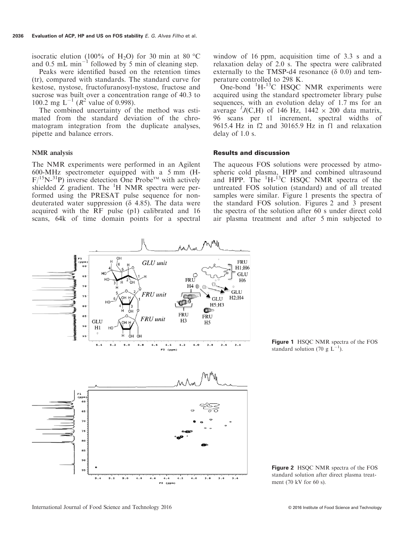isocratic elution (100% of H<sub>2</sub>O) for 30 min at 80 °C and 0.5 mL min<sup>-1</sup> followed by 5 min of cleaning step.

Peaks were identified based on the retention times (tr), compared with standards. The standard curve for kestose, nystose, fructofuranosyl-nystose, fructose and sucrose was built over a concentration range of 40.3 to 100.2 mg  $L^{-1}$  ( $R^2$  value of 0.998).

The combined uncertainty of the method was estimated from the standard deviation of the chromatogram integration from the duplicate analyses, pipette and balance errors.

#### NMR analysis

The NMR experiments were performed in an Agilent 600-MHz spectrometer equipped with a 5 mm (H- $F/{}^{15}N-{}^{31}P$ ) inverse detection One Probe<sup>TM</sup> with actively shielded  $Z$  gradient. The  ${}^{1}H$  NMR spectra were performed using the PRESAT pulse sequence for nondeuterated water suppression ( $\delta$  4.85). The data were acquired with the RF pulse (p1) calibrated and 16 scans, 64k of time domain points for a spectral window of 16 ppm, acquisition time of 3.3 s and a relaxation delay of 2.0 s. The spectra were calibrated externally to the TMSP-d4 resonance  $(\delta 0.0)$  and temperature controlled to 298 K.

One-bond <sup>1</sup>H-<sup>13</sup>C HSQC NMR experiments were acquired using the standard spectrometer library pulse sequences, with an evolution delay of 1.7 ms for an average <sup>1</sup>J(C,H) of 146 Hz, 1442  $\times$  200 data matrix, 96 scans per t1 increment, spectral widths of 9615.4 Hz in f2 and 30165.9 Hz in f1 and relaxation delay of 1.0 s.

#### Results and discussion

The aqueous FOS solutions were processed by atmospheric cold plasma, HPP and combined ultrasound and HPP. The  ${}^{1}H-{}^{13}C$  HSQC NMR spectra of the untreated FOS solution (standard) and of all treated samples were similar. Figure 1 presents the spectra of the standard FOS solution. Figures 2 and 3 present the spectra of the solution after 60 s under direct cold air plasma treatment and after 5 min subjected to



Figure 1 HSQC NMR spectra of the FOS standard solution (70 g  $L^{-1}$ ).

Figure 2 HSQC NMR spectra of the FOS standard solution after direct plasma treatment (70 kV for 60 s).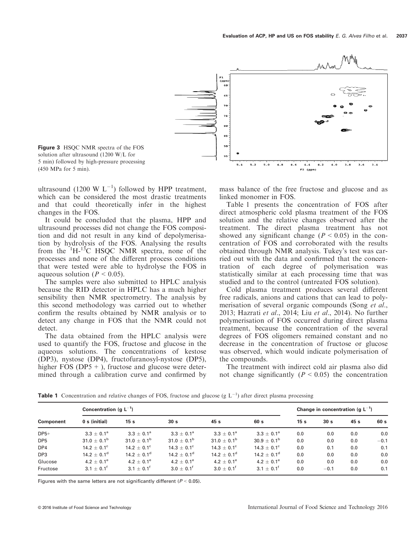

ultrasound (1200 W  $L^{-1}$ ) followed by HPP treatment, which can be considered the most drastic treatments and that could theoretically infer in the highest changes in the FOS.

It could be concluded that the plasma, HPP and ultrasound processes did not change the FOS composition and did not result in any kind of depolymerisation by hydrolysis of the FOS. Analysing the results from the  $1H^{-13}C$  HSQC NMR spectra, none of the processes and none of the different process conditions that were tested were able to hydrolyse the FOS in aqueous solution ( $P < 0.05$ ).

The samples were also submitted to HPLC analysis because the RID detector in HPLC has a much higher sensibility then NMR spectrometry. The analysis by this second methodology was carried out to whether confirm the results obtained by NMR analysis or to detect any change in FOS that the NMR could not detect.

The data obtained from the HPLC analysis were used to quantify the FOS, fructose and glucose in the aqueous solutions. The concentrations of kestose (DP3), nystose (DP4), fructofuranosyl-nystose (DP5), higher FOS ( $DP5 +$ ), fructose and glucose were determined through a calibration curve and confirmed by mass balance of the free fructose and glucose and as linked monomer in FOS.

Table 1 presents the concentration of FOS after direct atmospheric cold plasma treatment of the FOS solution and the relative changes observed after the treatment. The direct plasma treatment has not showed any significant change ( $P < 0.05$ ) in the concentration of FOS and corroborated with the results obtained through NMR analysis. Tukey's test was carried out with the data and confirmed that the concentration of each degree of polymerisation was statistically similar at each processing time that was studied and to the control (untreated FOS solution).

Cold plasma treatment produces several different free radicals, anions and cations that can lead to polymerisation of several organic compounds (Song *et al.*, 2013; Hazrati et al., 2014; Liu et al., 2014). No further polymerisation of FOS occurred during direct plasma treatment, because the concentration of the several degrees of FOS oligomers remained constant and no decrease in the concentration of fructose or glucose was observed, which would indicate polymerisation of the compounds.

The treatment with indirect cold air plasma also did not change significantly  $(P < 0.05)$  the concentration

**Table 1** Concentration and relative changes of FOS, fructose and glucose (g  $L^{-1}$ ) after direct plasma processing

| Component       | Concentration (g $L^{-1}$ ) |                        |                             |                           |                             | Change in concentration (g $L^{-1}$ ) |                 |                 |        |
|-----------------|-----------------------------|------------------------|-----------------------------|---------------------------|-----------------------------|---------------------------------------|-----------------|-----------------|--------|
|                 | 0 s (initial)               | 15 <sub>s</sub>        | 30 <sub>s</sub>             | 45 <sub>s</sub>           | 60 s                        | 15 <sub>s</sub>                       | 30 <sub>s</sub> | 45 <sub>s</sub> | 60 s   |
| $DP5+$          | $3.3 + 0.1^a$               | $3.3 + 0.1^a$          | $3.3 + 0.1^a$               | $3.3 + 0.1^a$             | $3.3 + 0.1^a$               | 0.0                                   | 0.0             | 0.0             | 0.0    |
| DP <sub>5</sub> | $31.0 \pm 0.1^{\rm b}$      | $31.0 + 0.1^b$         | 31.0 $\pm$ 0.1 <sup>b</sup> | $31.0 + 0.1^b$            | $30.9 + 0.1^{\rm b}$        | 0.0                                   | 0.0             | 0.0             | $-0.1$ |
| DP4             | $14.2 \pm 0.1^{\circ}$      | $14.2 \pm 0.1^{\circ}$ | $14.3 \pm 0.1^{\circ}$      | $14.3 \pm 0.1^{\circ}$    | $14.3 \pm 0.1^{\circ}$      | 0.0                                   | 0.1             | 0.0             | 0.1    |
| DP3             | $14.2 \pm 0.1^{\rm d}$      | $14.2 \pm 0.1^d$       | $14.2 + 0.1^d$              | $14.2 + 0.1$ <sup>d</sup> | $14.2 \pm 0.1$ <sup>d</sup> | 0.0                                   | 0.0             | 0.0             | 0.0    |
| Glucose         | $4.2 \pm 0.1^e$             | $4.2 \pm 0.1^e$        | $4.2 \pm 0.1^e$             | $4.2 + 0.1^e$             | $4.2 + 0.1^e$               | 0.0                                   | 0.0             | 0.0             | 0.0    |
| Fructose        | $3.1 \pm 0.1^{\dagger}$     | $3.1 + 0.1^{\dagger}$  | $3.0 \pm 0.1^{\circ}$       | $3.0 \pm 0.1^{\dagger}$   | $3.1 + 0.1^{\dagger}$       | 0.0                                   | $-0.1$          | 0.0             | 0.1    |

Figures with the same letters are not significantly different ( $P < 0.05$ ).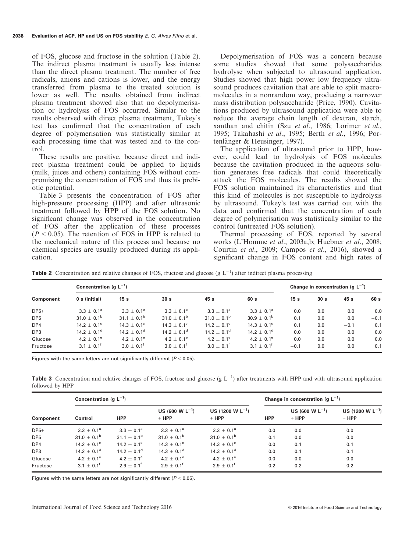of FOS, glucose and fructose in the solution (Table 2). The indirect plasma treatment is usually less intense than the direct plasma treatment. The number of free radicals, anions and cations is lower, and the energy transferred from plasma to the treated solution is lower as well. The results obtained from indirect plasma treatment showed also that no depolymerisation or hydrolysis of FOS occurred. Similar to the results observed with direct plasma treatment, Tukey's test has confirmed that the concentration of each degree of polymerisation was statistically similar at each processing time that was tested and to the control.

These results are positive, because direct and indirect plasma treatment could be applied to liquids (milk, juices and others) containing FOS without compromising the concentration of FOS and thus its prebiotic potential.

Table 3 presents the concentration of FOS after high-pressure processing (HPP) and after ultrasonic treatment followed by HPP of the FOS solution. No significant change was observed in the concentration of FOS after the application of these processes  $(P < 0.05)$ . The retention of FOS in HPP is related to the mechanical nature of this process and because no chemical species are usually produced during its application.

Depolymerisation of FOS was a concern because some studies showed that some polysaccharides hydrolyse when subjected to ultrasound application. Studies showed that high power low frequency ultrasound produces cavitation that are able to split macromolecules in a nonrandom way, producing a narrower mass distribution polysaccharide (Price, 1990). Cavitations produced by ultrasound application were able to reduce the average chain length of dextran, starch, xanthan and chitin (Szu et al., 1986; Lorimer et al., 1995; Takahashi et al., 1995; Berth et al., 1996; Portenlänger  $&$  Heusinger, 1997).

The application of ultrasound prior to HPP, however, could lead to hydrolysis of FOS molecules because the cavitation produced in the aqueous solution generates free radicals that could theoretically attack the FOS molecules. The results showed the FOS solution maintained its characteristics and that this kind of molecules is not susceptible to hydrolysis by ultrasound. Tukey's test was carried out with the data and confirmed that the concentration of each degree of polymerisation was statistically similar to the control (untreated FOS solution).

Thermal processing of FOS, reported by several works (L'Homme et al., 2003a,b; Huebner et al., 2008; Courtin et al., 2009; Campos et al., 2016), showed a significant change in FOS content and high rates of

**Table 2** Concentration and relative changes of FOS, fructose and glucose (g  $L^{-1}$ ) after indirect plasma processing

| Component       | Concentration (g $L^{-1}$ ) |                       |                         |                             |                        | Change in concentration (g $L^{-1}$ ) |                 |        |        |
|-----------------|-----------------------------|-----------------------|-------------------------|-----------------------------|------------------------|---------------------------------------|-----------------|--------|--------|
|                 | 0 s (initial)               | 15 <sub>s</sub>       | 30 <sub>s</sub>         | 45 s                        | 60 s                   | 15 <sub>s</sub>                       | 30 <sub>s</sub> | 45 s   | 60 s   |
| $DP5+$          | $3.3 \pm 0.1^{\circ}$       | $3.3 + 0.1^a$         | $3.3 + 0.1^a$           | $3.3 + 0.1^a$               | $3.3 + 0.1^a$          | 0.0                                   | 0.0             | 0.0    | 0.0    |
| DP <sub>5</sub> | $31.0 \pm 0.1^{\rm b}$      | $31.1 + 0.1^b$        | $31.0 \pm 0.1^{\rm b}$  | 31.0 $\pm$ 0.1 <sup>b</sup> | $30.9 \pm 0.1^{\rm b}$ | 0.1                                   | 0.0             | 0.0    | $-0.1$ |
| DP4             | $14.2 \pm 0.1^{\circ}$      | $14.3 + 0.1^{\circ}$  | $14.3 \pm 0.1^{\circ}$  | $14.2 \pm 0.1^{\circ}$      | $14.3 + 0.1^{\circ}$   | 0.1                                   | 0.0             | $-0.1$ | 0.1    |
| DP3             | $14.2 \pm 0.1^{\rm d}$      | $14.2 + 0.1^d$        | $14.2 + 0.1^d$          | $14.2 + 0.1^d$              | $14.2 + 0.1d$          | 0.0                                   | 0.0             | 0.0    | 0.0    |
| Glucose         | $4.2 \pm 0.1^e$             | $4.2 \pm 0.1^e$       | $4.2 \pm 0.1^e$         | $4.2 \pm 0.1^e$             | $4.2 + 0.1^e$          | 0.0                                   | 0.0             | 0.0    | 0.0    |
| Fructose        | $3.1 + 0.1^{\dagger}$       | $3.0 + 0.1^{\dagger}$ | $3.0 \pm 0.1^{\dagger}$ | $3.0 + 0.1^{\dagger}$       | $3.1 + 0.1^{\dagger}$  | $-0.1$                                | 0.0             | 0.0    | 0.1    |

Figures with the same letters are not significantly different ( $P < 0.05$ ).

**Table 3** Concentration and relative changes of FOS, fructose and glucose  $(g L^{-1})$  after treatments with HPP and with ultrasound application followed by HPP

| Component       | Concentration (g $L^{-1}$ ) |                             |                                 |                                  |            | Change in concentration (g $L^{-1}$ ) |                                  |  |  |
|-----------------|-----------------------------|-----------------------------|---------------------------------|----------------------------------|------------|---------------------------------------|----------------------------------|--|--|
|                 | Control                     | <b>HPP</b>                  | US (600 W $L^{-1}$ )<br>$+$ HPP | US (1200 W $L^{-1}$ )<br>$+$ HPP | <b>HPP</b> | US (600 W $L^{-1}$ )<br>$+$ HPP       | US (1200 W $L^{-1}$ )<br>$+$ HPP |  |  |
| $DP5+$          | $3.3 \pm 0.1^{\circ}$       | $3.3 + 0.1^a$               | $3.3 \pm 0.1^{\circ}$           | $3.3 + 0.1^a$                    | 0.0        | 0.0                                   | 0.0                              |  |  |
| DP <sub>5</sub> | 31.0 $\pm$ 0.1 <sup>b</sup> | 31.1 $\pm$ 0.1 <sup>b</sup> | 31.0 $\pm$ 0.1 <sup>b</sup>     | 31.0 $\pm$ 0.1 <sup>b</sup>      | 0.1        | 0.0                                   | 0.0                              |  |  |
| DP4             | 14.2 $\pm$ 0.1 <sup>c</sup> | $14.2 \pm 0.1^{\circ}$      | $14.3 \pm 0.1^{\circ}$          | $14.3 \pm 0.1^{\circ}$           | 0.0        | 0.1                                   | 0.1                              |  |  |
| DP3             | $14.2 \pm 0.1^d$            | $14.2 \pm 0.1^d$            | $14.3 \pm 0.1^d$                | $14.3 \pm 0.1^d$                 | 0.0        | 0.1                                   | 0.1                              |  |  |
| Glucose         | $4.2 + 0.1^e$               | $4.2 + 0.1^e$               | $4.2 + 0.1^e$                   | $4.2 + 0.1^e$                    | 0.0        | 0.0                                   | 0.0                              |  |  |
| Fructose        | $3.1 \pm 0.1^{\circ}$       | $2.9 \pm 0.1^{\circ}$       | $2.9 + 0.1^{\dagger}$           | $2.9 + 0.1^{\dagger}$            | $-0.2$     | $-0.2$                                | $-0.2$                           |  |  |

Figures with the same letters are not significantly different ( $P < 0.05$ ).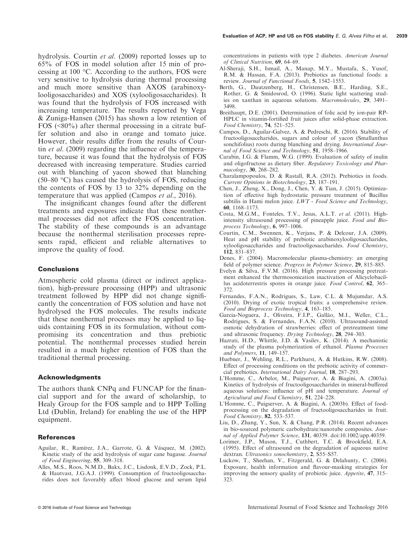hydrolysis. Courtin et al. (2009) reported losses up to 65% of FOS in model solution after 15 min of processing at 100 °C. According to the authors, FOS were very sensitive to hydrolysis during thermal processing and much more sensitive than AXOS (arabinoxylooligosaccharides) and XOS (xylooligosaccharides). It was found that the hydrolysis of FOS increased with increasing temperature. The results reported by Vega & Zuniga-Hansen (2015) has shown a low retention of FOS (<80%) after thermal processing in a citrate buffer solution and also in orange and tomato juice. However, their results differ from the results of Courtin et al. (2009) regarding the influence of the temperature, because it was found that the hydrolysis of FOS decreased with increasing temperature. Studies carried out with blanching of yacon showed that blanching (50–80 °C) has caused the hydrolysis of FOS, reducing the contents of FOS by 13 to 32% depending on the temperature that was applied (Campos et al., 2016).

The insignificant changes found after the different treatments and exposures indicate that these nonthermal processes did not affect the FOS concentration. The stability of these compounds is an advantage because the nonthermal sterilisation processes represents rapid, efficient and reliable alternatives to improve the quality of food.

#### Conclusions

Atmospheric cold plasma (direct or indirect application), high-pressure processing (HPP) and ultrasonic treatment followed by HPP did not change significantly the concentration of FOS solution and have not hydrolysed the FOS molecules. The results indicate that these nonthermal processes may be applied to liquids containing FOS in its formulation, without compromising its concentration and thus prebiotic potential. The nonthermal processes studied herein resulted in a much higher retention of FOS than the traditional thermal processing.

#### Acknowledgments

The authors thank CNPq and FUNCAP for the financial support and for the award of scholarship, to Healy Group for the FOS sample and to HPP Tolling Ltd (Dublin, Ireland) for enabling the use of the HPP equipment.

#### References

- Aguilar, R., Ramírez, J.A., Garrote, G. & Vásquez, M. (2002). Kinetic study of the acid hydrolysis of sugar cane bagasse. Journal of Food Engineering, 55, 309–318.
- Alles, M.S., Roos, N.M.D., Bakx, J.C., Lisdonk, E.V.D., Zock, P.L. & Hautvast, J.G.A.J. (1999). Consumption of fructooligosaccharides does not favorably affect blood glucose and serum lipid

concentrations in patients with type 2 diabetes. American Journal of Clinical Nutrition, 69, 64–69.

- Al-Sheraji, S.H., Ismail, A., Manap, M.Y., Mustafa, S., Yusof, R.M. & Hassan, F.A. (2013). Prebiotics as functional foods: a review. Journal of Functional Foods, 5, 1542–1553.
- Berth, G., Dautzenberg, H., Christensen, B.E., Harding, S.E., Rother, G. & Smidosrod, O. (1996). Static light scattering studies on xanthan in aqueous solutions. Macromolecules, 29, 3491– 3498.
- Breithaupt, D.E. (2001). Determination of folic acid by ion-pair RP-HPLC in vitamin-fortified fruit juices after solid-phase extraction. Food Chemistry, 74, 521–525.
- Campos, D., Aguilar-Galvez, A. & Pedreschi, R. (2016). Stability of fructooligosaccharides, sugars and colour of yacon (Smallanthus sonchifolius) roots during blanching and drying. International Journal of Food Science and Technology, 51, 1958-1966.
- Carabin, I.G. & Flamm, W.G. (1999). Evaluation of safety of inulin and oligofructose as dietary fiber. Regulatory Toxicology and Pharmacology, 30, 268–282.
- Charalampopoulos, D. & Rastall, R.A. (2012). Prebiotics in foods. Current Opinions in Biotechnology, 23, 187–191.
- Chen, J., Zheng, X., Dong, J., Chen, Y. & Tian, J. (2015). Optimization of effective high hydrostatic pressure treatment of Bacillus subtilis in Hami melon juice.  $LWT - Food Science$  and Technology, 60, 1168–1173.
- Costa, M.G.M., Fonteles, T.V., Jesus, A.L.T. et al. (2011). Highintensity ultrasound processing of pineapple juice. Food and Bioprocess Technology, 6, 997–1006.
- Courtin, C.M., Swennen, K., Verjans, P. & Delcour, J.A. (2009). Heat and pH stability of prebiotic arabinoxylooligosaccharides, xylooligosaccharides and fructooligosaccharides. Food Chemistry, 112, 831–837.
- Denes, F. (2004). Macromolecular plasma-chemistry: an emerging field of polymer science. Progress in Polymer Science, 29, 815–885.
- Evelyn & Silva, F.V.M. (2016). High pressure processing pretreatment enhanced the thermosonication inactivation of Alicyclobacillus acidoterrestris spores in orange juice. Food Control, 62, 365– 372.
- Fernandes, F.A.N., Rodrigues, S., Law, C.L. & Mujumdar, A.S. (2010). Drying of exotic tropical fruits: a comprehensive review. Food and Bioprocess Technology, 4, 163–185.
- Garcia-Noguera, J., Oliveira, F.I.P., Gallão, M.I., Weller, C.L., Rodrigues, S. & Fernandes, F.A.N. (2010). Ultrasound-assisted osmotic dehydration of strawberries: effect of pretreatment time and ultrasonic frequency. Drying Technology, 28, 294–303.
- Hazrati, H.D., Whittle, J.D. & Vasilev, K. (2014). A mechanistic study of the plasma polymerization of ethanol. Plasma Processes and Polymers, 11, 149–157.
- Huebner, J., Wehling, R.L., Parkhurst, A. & Hutkins, R.W. (2008). Effect of processing conditions on the prebiotic activity of commercial prebiotics. International Dairy Journal, 18, 287–293.
- L'Homme, C., Arbelot, M., Puigserver, A. & Biagini, A. (2003a). Kinetics of hydrolysis of fructooligosaccharides in mineral-buffered aqueous solutions: influence of pH and temperature. Journal of Agricultural and Food Chemistry, 51, 224–228.
- L'Homme, C., Puigserver, A. & Biagini, A. (2003b). Effect of foodprocessing on the degradation of fructooligosaccharides in fruit. Food Chemistry, 82, 533–537.
- Liu, D., Zhang, Y., Sun, X. & Chang, P.R. (2014). Recent advances in bio-sourced polymeric carbohydrate/nanotube composites. Journal of Applied Polymer Science, 131, 40359. doi[:10.1002/app.40359](http://dx.doi.org/10.1002/app.40359).
- Lorimer, J.P., Mason, T.J., Cuthbert, T.C. & Brookfield, E.A. (1995). Effect of ultrasound on the degradation of aqueous native dextran. Ultrasonics sonochemistry, 2, S55–S57.
- Luckow, T., Sheehan, V., Fitzgerald, G. & Delahunty, C. (2006). Exposure, health information and flavour-masking strategies for improving the sensory quality of probiotic juice. Appetite, 47, 315– 323.